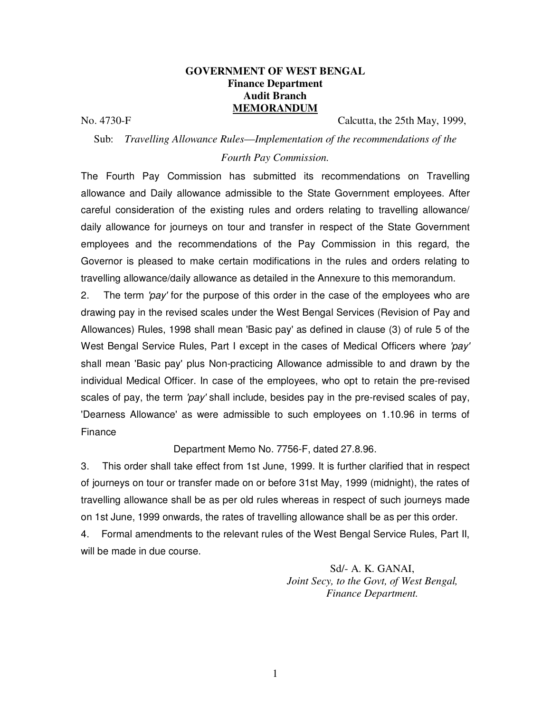### **GOVERNMENT OF WEST BENGAL Finance Department Audit Branch MEMORANDUM**

No. 4730-F Calcutta, the 25th May, 1999,

#### Sub: *Travelling Allowance Rules*—*Implementation of the recommendations of the*

#### *Fourth Pay Commission.*

The Fourth Pay Commission has submitted its recommendations on Travelling allowance and Daily allowance admissible to the State Government employees. After careful consideration of the existing rules and orders relating to travelling allowance/ daily allowance for journeys on tour and transfer in respect of the State Government employees and the recommendations of the Pay Commission in this regard, the Governor is pleased to make certain modifications in the rules and orders relating to travelling allowance/daily allowance as detailed in the Annexure to this memorandum.

2. The term 'pay' for the purpose of this order in the case of the employees who are drawing pay in the revised scales under the West Bengal Services (Revision of Pay and Allowances) Rules, 1998 shall mean 'Basic pay' as defined in clause (3) of rule 5 of the West Bengal Service Rules, Part I except in the cases of Medical Officers where 'pay' shall mean 'Basic pay' plus Non-practicing Allowance admissible to and drawn by the individual Medical Officer. In case of the employees, who opt to retain the pre-revised scales of pay, the term 'pay' shall include, besides pay in the pre-revised scales of pay, 'Dearness Allowance' as were admissible to such employees on 1.10.96 in terms of Finance

#### Department Memo No. 7756-F, dated 27.8.96.

3. This order shall take effect from 1st June, 1999. It is further clarified that in respect of journeys on tour or transfer made on or before 31st May, 1999 (midnight), the rates of travelling allowance shall be as per old rules whereas in respect of such journeys made on 1st June, 1999 onwards, the rates of travelling allowance shall be as per this order.

4. Formal amendments to the relevant rules of the West Bengal Service Rules, Part II, will be made in due course.

> Sd/- A. K. GANAI, *Joint Secy, to the Govt, of West Bengal, Finance Department.*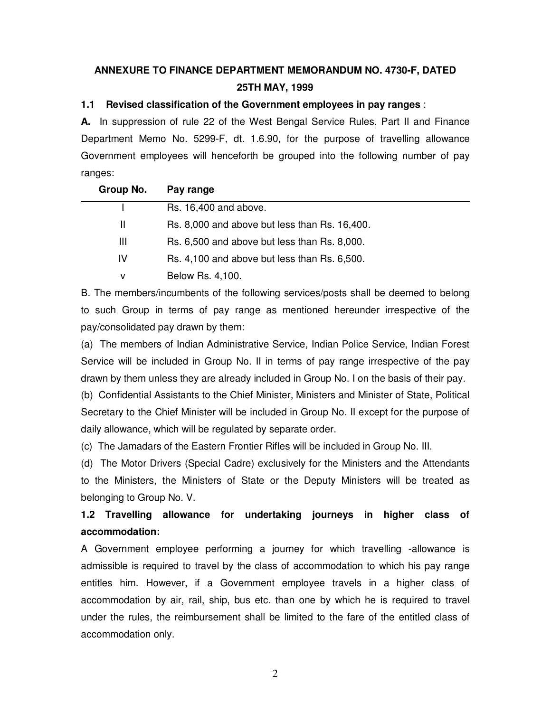# **ANNEXURE TO FINANCE DEPARTMENT MEMORANDUM NO. 4730-F, DATED 25TH MAY, 1999**

### **1.1 Revised classification of the Government employees in pay ranges** :

**A.** In suppression of rule 22 of the West Bengal Service Rules, Part II and Finance Department Memo No. 5299-F, dt. 1.6.90, for the purpose of travelling allowance Government employees will henceforth be grouped into the following number of pay ranges:

| Group No. | Pay range                                     |
|-----------|-----------------------------------------------|
|           | Rs. 16,400 and above.                         |
| Ш         | Rs. 8,000 and above but less than Rs. 16,400. |
| Ш         | Rs. 6,500 and above but less than Rs. 8,000.  |
| IV.       | Rs. 4,100 and above but less than Rs. 6,500.  |
| v         | Below Rs. 4,100.                              |

B. The members/incumbents of the following services/posts shall be deemed to belong to such Group in terms of pay range as mentioned hereunder irrespective of the pay/consolidated pay drawn by them:

(a) The members of Indian Administrative Service, Indian Police Service, Indian Forest Service will be included in Group No. II in terms of pay range irrespective of the pay drawn by them unless they are already included in Group No. I on the basis of their pay.

(b) Confidential Assistants to the Chief Minister, Ministers and Minister of State, Political Secretary to the Chief Minister will be included in Group No. II except for the purpose of daily allowance, which will be regulated by separate order.

(c) The Jamadars of the Eastern Frontier Rifles will be included in Group No. III.

(d) The Motor Drivers (Special Cadre) exclusively for the Ministers and the Attendants to the Ministers, the Ministers of State or the Deputy Ministers will be treated as belonging to Group No. V.

# **1.2 Travelling allowance for undertaking journeys in higher class of accommodation:**

A Government employee performing a journey for which travelling -allowance is admissible is required to travel by the class of accommodation to which his pay range entitles him. However, if a Government employee travels in a higher class of accommodation by air, rail, ship, bus etc. than one by which he is required to travel under the rules, the reimbursement shall be limited to the fare of the entitled class of accommodation only.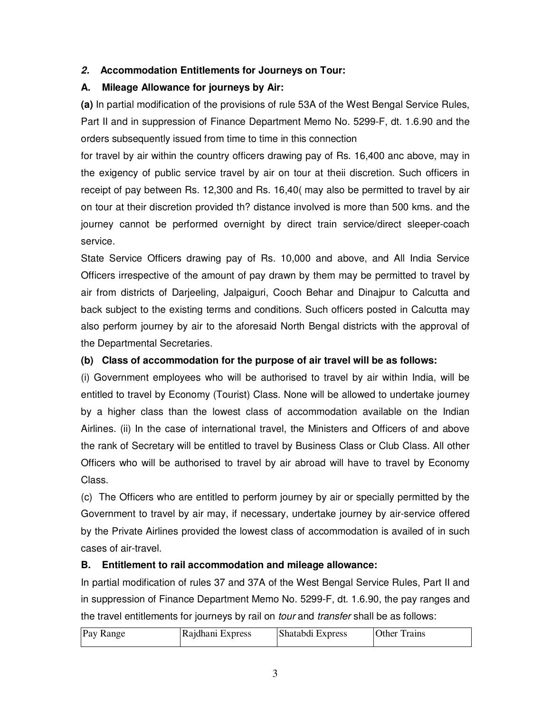# **2. Accommodation Entitlements for Journeys on Tour:**

# **A. Mileage Allowance for journeys by Air:**

**(a)** In partial modification of the provisions of rule 53A of the West Bengal Service Rules, Part II and in suppression of Finance Department Memo No. 5299-F, dt. 1.6.90 and the orders subsequently issued from time to time in this connection

for travel by air within the country officers drawing pay of Rs. 16,400 anc above, may in the exigency of public service travel by air on tour at theii discretion. Such officers in receipt of pay between Rs. 12,300 and Rs. 16,40( may also be permitted to travel by air on tour at their discretion provided th? distance involved is more than 500 kms. and the journey cannot be performed overnight by direct train service/direct sleeper-coach service.

State Service Officers drawing pay of Rs. 10,000 and above, and All India Service Officers irrespective of the amount of pay drawn by them may be permitted to travel by air from districts of Darjeeling, Jalpaiguri, Cooch Behar and Dinajpur to Calcutta and back subject to the existing terms and conditions. Such officers posted in Calcutta may also perform journey by air to the aforesaid North Bengal districts with the approval of the Departmental Secretaries.

# **(b) Class of accommodation for the purpose of air travel will be as follows:**

(i) Government employees who will be authorised to travel by air within India, will be entitled to travel by Economy (Tourist) Class. None will be allowed to undertake journey by a higher class than the lowest class of accommodation available on the Indian Airlines. (ii) In the case of international travel, the Ministers and Officers of and above the rank of Secretary will be entitled to travel by Business Class or Club Class. All other Officers who will be authorised to travel by air abroad will have to travel by Economy Class.

(c) The Officers who are entitled to perform journey by air or specially permitted by the Government to travel by air may, if necessary, undertake journey by air-service offered by the Private Airlines provided the lowest class of accommodation is availed of in such cases of air-travel.

# **B. Entitlement to rail accommodation and mileage allowance:**

In partial modification of rules 37 and 37A of the West Bengal Service Rules, Part II and in suppression of Finance Department Memo No. 5299-F, dt. 1.6.90, the pay ranges and the travel entitlements for journeys by rail on *tour* and *transfer* shall be as follows:

| Pay Range<br>Rajdhani Express | Shatabdi Express | Other<br>Trains |
|-------------------------------|------------------|-----------------|
|-------------------------------|------------------|-----------------|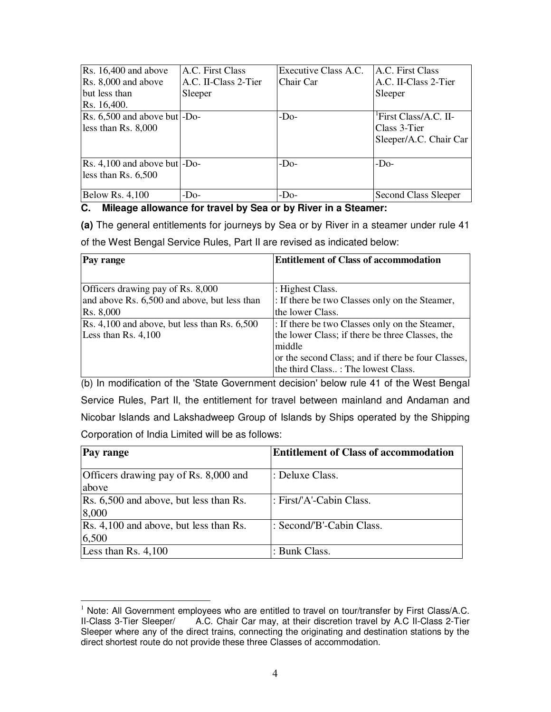| $\vert$ Rs. 16,400 and above<br>$\textsf{Rs.} 8,000$ and above<br>but less than<br>Rs. 16,400. | A.C. First Class<br>A.C. II-Class 2-Tier<br>Sleeper | Executive Class A.C.<br>Chair Car | A.C. First Class<br>A.C. II-Class 2-Tier<br>Sleeper                         |
|------------------------------------------------------------------------------------------------|-----------------------------------------------------|-----------------------------------|-----------------------------------------------------------------------------|
| $\vert$ Rs. 6,500 and above but $\vert$ -Do-<br>less than $Rs. 8,000$                          |                                                     | $-Do-$                            | <sup>1</sup> First Class/A.C. II-<br>Class 3-Tier<br>Sleeper/A.C. Chair Car |
| $\vert$ Rs. 4,100 and above but $\vert$ -Do-<br>less than Rs. $6,500$                          |                                                     | $-DO$                             | $-DO$                                                                       |
| Below Rs. $4,100$                                                                              | $-Do-$                                              | $-Do-$                            | <b>Second Class Sleeper</b>                                                 |

### **C. Mileage allowance for travel by Sea or by River in a Steamer:**

**(a)** The general entitlements for journeys by Sea or by River in a steamer under rule 41

of the West Bengal Service Rules, Part II are revised as indicated below:

| Pay range                                              | <b>Entitlement of Class of accommodation</b>       |  |  |
|--------------------------------------------------------|----------------------------------------------------|--|--|
|                                                        |                                                    |  |  |
| Officers drawing pay of Rs. 8,000                      | : Highest Class.                                   |  |  |
| and above Rs. 6,500 and above, but less than           | : If there be two Classes only on the Steamer,     |  |  |
| Rs. 8,000                                              | the lower Class.                                   |  |  |
| $\text{Rs. } 4,100$ and above, but less than Rs. 6,500 | : If there be two Classes only on the Steamer,     |  |  |
| Less than Rs. $4,100$                                  | the lower Class; if there be three Classes, the    |  |  |
|                                                        | middle                                             |  |  |
|                                                        | or the second Class; and if there be four Classes, |  |  |
|                                                        | the third Class : The lowest Class.                |  |  |

(b) In modification of the 'State Government decision' below rule 41 of the West Bengal Service Rules, Part II, the entitlement for travel between mainland and Andaman and Nicobar Islands and Lakshadweep Group of Islands by Ships operated by the Shipping Corporation of India Limited will be as follows:

| <b>Pay range</b>                                | <b>Entitlement of Class of accommodation</b> |
|-------------------------------------------------|----------------------------------------------|
| Officers drawing pay of Rs. 8,000 and<br>above  | l: Deluxe Class.                             |
| Rs. 6,500 and above, but less than Rs.<br>8,000 | : First/'A'-Cabin Class.                     |
| Rs. 4,100 and above, but less than Rs.<br>6,500 | : Second/'B'-Cabin Class.                    |
| Less than Rs. $4,100$                           | : Bunk Class.                                |

<sup>-</sup><sup>1</sup> Note: All Government employees who are entitled to travel on tour/transfer by First Class/A.C.<br>II-Class 3-Tier Sleeper/ A.C. Chair Car may, at their discretion travel by A.C II-Class 2-Tier A.C. Chair Car may, at their discretion travel by A.C II-Class 2-Tier Sleeper where any of the direct trains, connecting the originating and destination stations by the direct shortest route do not provide these three Classes of accommodation.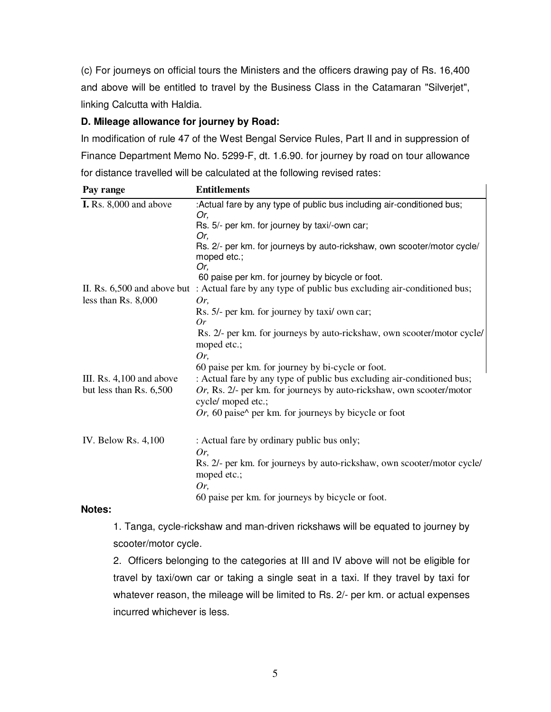(c) For journeys on official tours the Ministers and the officers drawing pay of Rs. 16,400 and above will be entitled to travel by the Business Class in the Catamaran "Silverjet", linking Calcutta with Haldia.

### **D. Mileage allowance for journey by Road:**

In modification of rule 47 of the West Bengal Service Rules, Part II and in suppression of Finance Department Memo No. 5299-F, dt. 1.6.90. for journey by road on tour allowance for distance travelled will be calculated at the following revised rates:

| Pay range                                           | <b>Entitlements</b>                                                                                                                                                  |
|-----------------------------------------------------|----------------------------------------------------------------------------------------------------------------------------------------------------------------------|
| <b>I.</b> Rs. 8,000 and above                       | :Actual fare by any type of public bus including air-conditioned bus;<br>Or,                                                                                         |
|                                                     | Rs. 5/- per km. for journey by taxi/-own car;<br>Or,                                                                                                                 |
|                                                     | Rs. 2/- per km. for journeys by auto-rickshaw, own scooter/motor cycle/<br>moped etc.;                                                                               |
|                                                     | Or,                                                                                                                                                                  |
|                                                     | 60 paise per km. for journey by bicycle or foot.                                                                                                                     |
| less than $Rs. 8,000$                               | II. Rs. 6,500 and above but : Actual fare by any type of public bus excluding air-conditioned bus;<br>Or,                                                            |
|                                                     | Rs. 5/- per km. for journey by taxi/ own car;                                                                                                                        |
|                                                     | Or                                                                                                                                                                   |
|                                                     | Rs. 2/- per km. for journeys by auto-rickshaw, own scooter/motor cycle/<br>moped etc.;                                                                               |
|                                                     | Or,                                                                                                                                                                  |
|                                                     | 60 paise per km. for journey by bi-cycle or foot.                                                                                                                    |
| III. Rs. 4,100 and above<br>but less than Rs. 6,500 | : Actual fare by any type of public bus excluding air-conditioned bus;<br>Or, Rs. 2/- per km. for journeys by auto-rickshaw, own scooter/motor<br>cycle/ moped etc.; |
|                                                     | Or, 60 paise $\wedge$ per km. for journeys by bicycle or foot                                                                                                        |
| IV. Below Rs. 4,100                                 | : Actual fare by ordinary public bus only;                                                                                                                           |
|                                                     | Or,                                                                                                                                                                  |
|                                                     | Rs. 2/- per km. for journeys by auto-rickshaw, own scooter/motor cycle/<br>moped etc.;                                                                               |
|                                                     | Or,                                                                                                                                                                  |
|                                                     | 60 paise per km. for journeys by bicycle or foot.                                                                                                                    |

#### **Notes:**

1. Tanga, cycle-rickshaw and man-driven rickshaws will be equated to journey by scooter/motor cycle.

2. Officers belonging to the categories at III and IV above will not be eligible for travel by taxi/own car or taking a single seat in a taxi. If they travel by taxi for whatever reason, the mileage will be limited to Rs. 2/- per km. or actual expenses incurred whichever is less.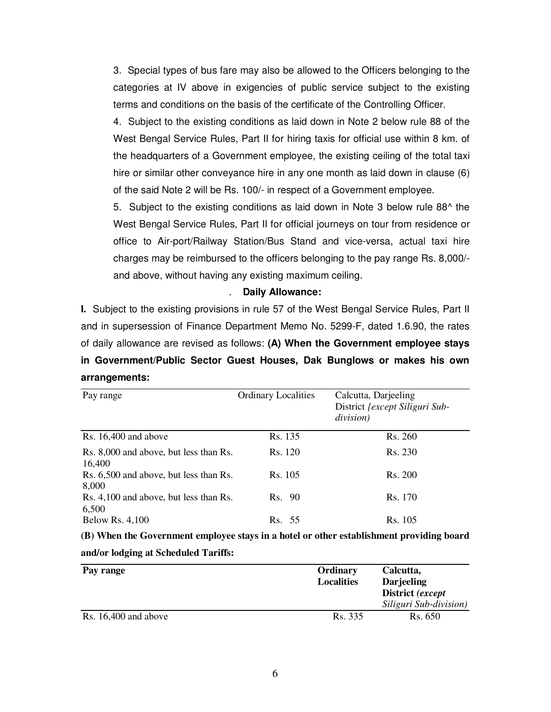3. Special types of bus fare may also be allowed to the Officers belonging to the categories at IV above in exigencies of public service subject to the existing terms and conditions on the basis of the certificate of the Controlling Officer.

4. Subject to the existing conditions as laid down in Note 2 below rule 88 of the West Bengal Service Rules, Part II for hiring taxis for official use within 8 km. of the headquarters of a Government employee, the existing ceiling of the total taxi hire or similar other conveyance hire in any one month as laid down in clause (6) of the said Note 2 will be Rs. 100/- in respect of a Government employee.

5. Subject to the existing conditions as laid down in Note 3 below rule 88^ the West Bengal Service Rules, Part II for official journeys on tour from residence or office to Air-port/Railway Station/Bus Stand and vice-versa, actual taxi hire charges may be reimbursed to the officers belonging to the pay range Rs. 8,000/ and above, without having any existing maximum ceiling.

#### . **Daily Allowance:**

**I.** Subject to the existing provisions in rule 57 of the West Bengal Service Rules, Part II and in supersession of Finance Department Memo No. 5299-F, dated 1.6.90, the rates of daily allowance are revised as follows: **(A) When the Government employee stays in Government/Public Sector Guest Houses, Dak Bunglows or makes his own arrangements:**

| Pay range                                        | <b>Ordinary Localities</b> | Calcutta, Darjeeling<br>District <i>{except Siliguri Sub-</i><br>division) |
|--------------------------------------------------|----------------------------|----------------------------------------------------------------------------|
| Rs. $16,400$ and above                           | Rs. 135                    | Rs. 260                                                                    |
| Rs. 8,000 and above, but less than Rs.<br>16,400 | Rs. 120                    | Rs. 230                                                                    |
| Rs. 6,500 and above, but less than Rs.<br>8,000  | Rs. 105                    | Rs. 200                                                                    |
| Rs. 4,100 and above, but less than Rs.<br>6,500  | Rs. 90                     | Rs. 170                                                                    |
| <b>Below Rs. 4,100</b>                           | Rs. 55                     | Rs. 105                                                                    |

| (B) When the Government employee stays in a hotel or other establishment providing board |
|------------------------------------------------------------------------------------------|
| and/or lodging at Scheduled Tariffs:                                                     |

| Pay range              | Ordinary<br><b>Localities</b> | Calcutta,<br><b>Darjeeling</b><br>District (except |
|------------------------|-------------------------------|----------------------------------------------------|
|                        |                               | Siliguri Sub-division)                             |
| Rs. $16,400$ and above | Rs. 335                       | Rs. 650                                            |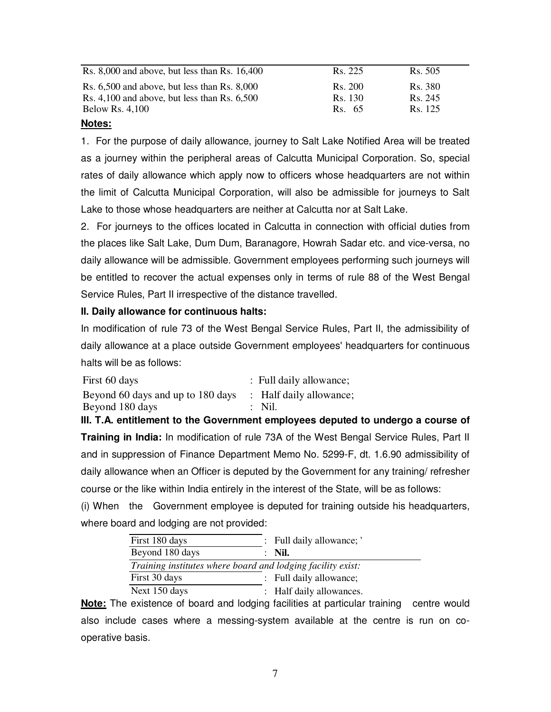| Rs. $8,000$ and above, but less than Rs. $16,400$ | Rs. 225 | Rs. 505 |
|---------------------------------------------------|---------|---------|
| Rs. $6,500$ and above, but less than Rs. $8,000$  | Rs. 200 | Rs. 380 |
| Rs. $4,100$ and above, but less than Rs. $6,500$  | Rs. 130 | Rs. 245 |
| <b>Below Rs. 4,100</b>                            | Rs. 65  | Rs. 125 |
|                                                   |         |         |

### **Notes:**

1. For the purpose of daily allowance, journey to Salt Lake Notified Area will be treated as a journey within the peripheral areas of Calcutta Municipal Corporation. So, special rates of daily allowance which apply now to officers whose headquarters are not within the limit of Calcutta Municipal Corporation, will also be admissible for journeys to Salt Lake to those whose headquarters are neither at Calcutta nor at Salt Lake.

2. For journeys to the offices located in Calcutta in connection with official duties from the places like Salt Lake, Dum Dum, Baranagore, Howrah Sadar etc. and vice-versa, no daily allowance will be admissible. Government employees performing such journeys will be entitled to recover the actual expenses only in terms of rule 88 of the West Bengal Service Rules, Part II irrespective of the distance travelled.

# **II. Daily allowance for continuous halts:**

In modification of rule 73 of the West Bengal Service Rules, Part II, the admissibility of daily allowance at a place outside Government employees' headquarters for continuous halts will be as follows:

| First 60 days                     | : Full daily allowance; |
|-----------------------------------|-------------------------|
| Beyond 60 days and up to 180 days | : Half daily allowance; |
| Beyond 180 days                   | $\therefore$ Nil.       |

**III. T.A. entitlement to the Government employees deputed to undergo a course of Training in India:** In modification of rule 73A of the West Bengal Service Rules, Part II and in suppression of Finance Department Memo No. 5299-F, dt. 1.6.90 admissibility of daily allowance when an Officer is deputed by the Government for any training/ refresher course or the like within India entirely in the interest of the State, will be as follows:

(i) When the Government employee is deputed for training outside his headquarters, where board and lodging are not provided:

| First 180 days                                              | : Full daily allowance;  |
|-------------------------------------------------------------|--------------------------|
| Beyond 180 days                                             | Nil.                     |
| Training institutes where board and lodging facility exist: |                          |
| First 30 days                                               | : Full daily allowance;  |
| Next 150 days                                               | : Half daily allowances. |

**Note:** The existence of board and lodging facilities at particular training centre would also include cases where a messing-system available at the centre is run on cooperative basis.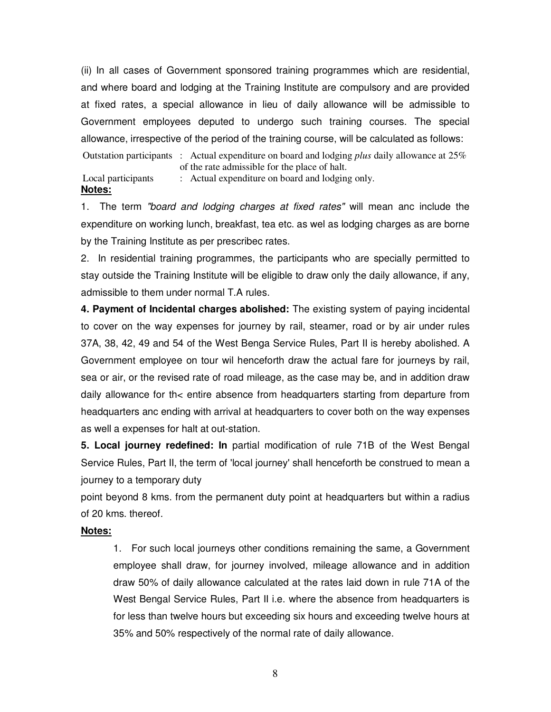(ii) In all cases of Government sponsored training programmes which are residential, and where board and lodging at the Training Institute are compulsory and are provided at fixed rates, a special allowance in lieu of daily allowance will be admissible to Government employees deputed to undergo such training courses. The special allowance, irrespective of the period of the training course, will be calculated as follows: Outstation participants : Actual expenditure on board and lodging *plus* daily allowance at 25% of the rate admissible for the place of halt. Local participants : Actual expenditure on board and lodging only. **Notes:**

1. The term "board and lodging charges at fixed rates" will mean anc include the expenditure on working lunch, breakfast, tea etc. as wel as lodging charges as are borne by the Training Institute as per prescribec rates.

2. In residential training programmes, the participants who are specially permitted to stay outside the Training Institute will be eligible to draw only the daily allowance, if any, admissible to them under normal T.A rules.

**4. Payment of Incidental charges abolished:** The existing system of paying incidental to cover on the way expenses for journey by rail, steamer, road or by air under rules 37A, 38, 42, 49 and 54 of the West Benga Service Rules, Part II is hereby abolished. A Government employee on tour wil henceforth draw the actual fare for journeys by rail, sea or air, or the revised rate of road mileage, as the case may be, and in addition draw daily allowance for th< entire absence from headquarters starting from departure from headquarters anc ending with arrival at headquarters to cover both on the way expenses as well a expenses for halt at out-station.

**5. Local journey redefined: In** partial modification of rule 71B of the West Bengal Service Rules, Part II, the term of 'local journey' shall henceforth be construed to mean a journey to a temporary duty

point beyond 8 kms. from the permanent duty point at headquarters but within a radius of 20 kms. thereof.

#### **Notes:**

1. For such local journeys other conditions remaining the same, a Government employee shall draw, for journey involved, mileage allowance and in addition draw 50% of daily allowance calculated at the rates laid down in rule 71A of the West Bengal Service Rules, Part II i.e. where the absence from headquarters is for less than twelve hours but exceeding six hours and exceeding twelve hours at 35% and 50% respectively of the normal rate of daily allowance.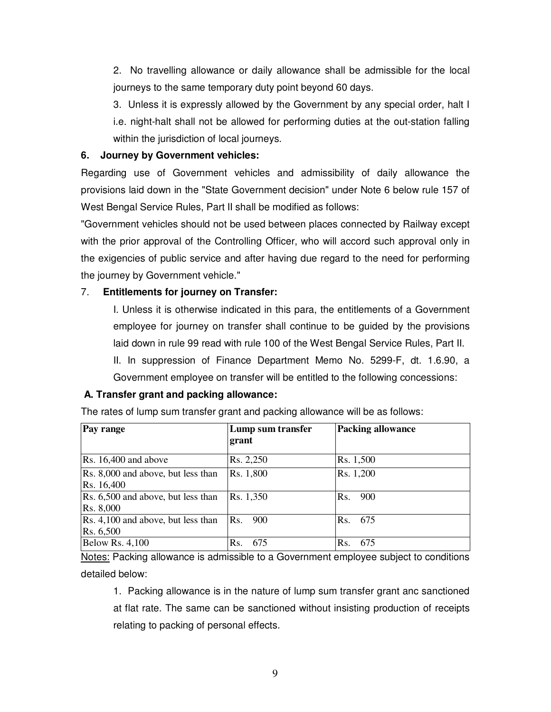2. No travelling allowance or daily allowance shall be admissible for the local journeys to the same temporary duty point beyond 60 days.

3. Unless it is expressly allowed by the Government by any special order, halt I i.e. night-halt shall not be allowed for performing duties at the out-station falling within the jurisdiction of local journeys.

### **6. Journey by Government vehicles:**

Regarding use of Government vehicles and admissibility of daily allowance the provisions laid down in the "State Government decision" under Note 6 below rule 157 of West Bengal Service Rules, Part II shall be modified as follows:

"Government vehicles should not be used between places connected by Railway except with the prior approval of the Controlling Officer, who will accord such approval only in the exigencies of public service and after having due regard to the need for performing the journey by Government vehicle."

# 7. **Entitlements for journey on Transfer:**

I. Unless it is otherwise indicated in this para, the entitlements of a Government employee for journey on transfer shall continue to be guided by the provisions laid down in rule 99 read with rule 100 of the West Bengal Service Rules, Part II.

II. In suppression of Finance Department Memo No. 5299-F, dt. 1.6.90, a Government employee on transfer will be entitled to the following concessions:

# **A. Transfer grant and packing allowance:**

| Pay range                                        | Lump sum transfer<br>grant | <b>Packing allowance</b> |
|--------------------------------------------------|----------------------------|--------------------------|
| $\text{Rs. } 16,400$ and above                   | Rs. 2,250                  | Rs. 1,500                |
| Rs. 8,000 and above, but less than<br>Rs. 16,400 | Rs. 1,800                  | Rs. 1,200                |
| Rs. 6,500 and above, but less than<br>Rs. 8,000  | Rs. 1,350                  | Rs. 900                  |
| Rs. 4,100 and above, but less than<br>Rs. 6,500  | Rs.<br>900                 | 675<br>Rs.               |
| <b>Below Rs. 4,100</b>                           | 675<br>Rs.                 | 675<br>$\mathbf{R}$ s    |

The rates of lump sum transfer grant and packing allowance will be as follows:

Notes: Packing allowance is admissible to a Government employee subject to conditions detailed below:

1. Packing allowance is in the nature of lump sum transfer grant anc sanctioned at flat rate. The same can be sanctioned without insisting production of receipts relating to packing of personal effects.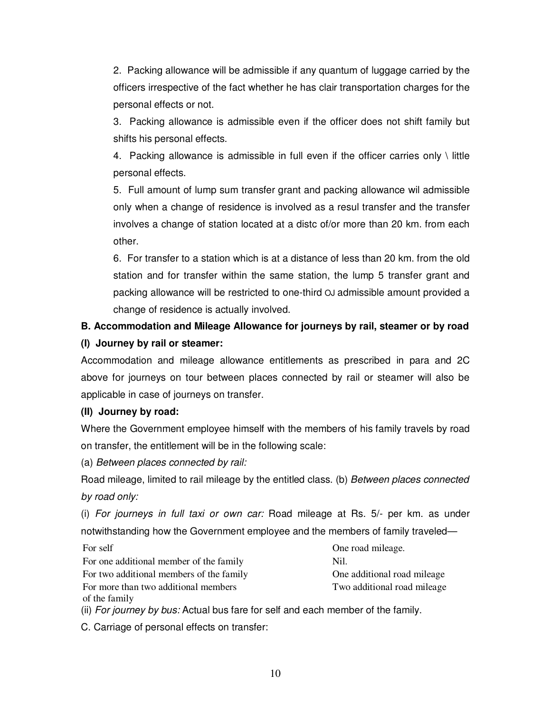2. Packing allowance will be admissible if any quantum of luggage carried by the officers irrespective of the fact whether he has clair transportation charges for the personal effects or not.

3. Packing allowance is admissible even if the officer does not shift family but shifts his personal effects.

4. Packing allowance is admissible in full even if the officer carries only  $\setminus$  little personal effects.

5. Full amount of lump sum transfer grant and packing allowance wil admissible only when a change of residence is involved as a resul transfer and the transfer involves a change of station located at a distc of/or more than 20 km. from each other.

6. For transfer to a station which is at a distance of less than 20 km. from the old station and for transfer within the same station, the lump 5 transfer grant and packing allowance will be restricted to one-third OJ admissible amount provided a change of residence is actually involved.

# **B. Accommodation and Mileage Allowance for journeys by rail, steamer or by road (I) Journey by rail or steamer:**

Accommodation and mileage allowance entitlements as prescribed in para and 2C above for journeys on tour between places connected by rail or steamer will also be applicable in case of journeys on transfer.

# **(II) Journey by road:**

Where the Government employee himself with the members of his family travels by road on transfer, the entitlement will be in the following scale:

(a) Between places connected by rail:

Road mileage, limited to rail mileage by the entitled class. (b) Between places connected by road only:

(i) For journeys in full taxi or own car: Road mileage at Rs. 5/- per km. as under notwithstanding how the Government employee and the members of family traveled—

For self One road mileage. For one additional member of the family Nil. For two additional members of the family **Solutional Cone** additional road mileage For more than two additional members of the family

Two additional road mileage

(ii) For journey by bus: Actual bus fare for self and each member of the family.

C. Carriage of personal effects on transfer: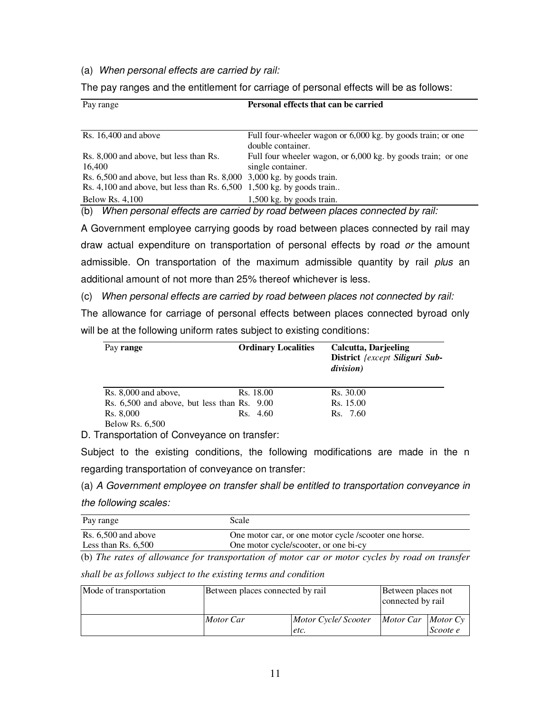#### (a) When personal effects are carried by rail:

The pay ranges and the entitlement for carriage of personal effects will be as follows:

| Pay range                                                                  | Personal effects that can be carried                                        |  |
|----------------------------------------------------------------------------|-----------------------------------------------------------------------------|--|
|                                                                            |                                                                             |  |
| Rs. $16,400$ and above                                                     | Full four-wheeler wagon or 6,000 kg. by goods train; or one                 |  |
|                                                                            | double container.                                                           |  |
| Rs. 8,000 and above, but less than Rs.                                     | Full four wheeler wagon, or 6,000 kg. by goods train; or one                |  |
| 16,400                                                                     | single container.                                                           |  |
| Rs. $6,500$ and above, but less than Rs. $8,000$ 3,000 kg, by goods train. |                                                                             |  |
| Rs. $4,100$ and above, but less than Rs. $6,500$ 1,500 kg. by goods train  |                                                                             |  |
| <b>Below Rs. 4,100</b>                                                     | $1,500$ kg. by goods train.                                                 |  |
| (b)                                                                        | When personal effects are carried by road between places connected by rail: |  |

A Government employee carrying goods by road between places connected by rail may draw actual expenditure on transportation of personal effects by road or the amount admissible. On transportation of the maximum admissible quantity by rail plus an additional amount of not more than 25% thereof whichever is less.

(c) When personal effects are carried by road between places not connected by rail:

The allowance for carriage of personal effects between places connected byroad only will be at the following uniform rates subject to existing conditions:

| Pay range                                       | <b>Ordinary Localities</b> | Calcutta, Darjeeling<br>District {except Siliguri Sub-<br>division) |
|-------------------------------------------------|----------------------------|---------------------------------------------------------------------|
| $Rs. 8,000$ and above,                          | Rs. 18.00                  | Rs. 30.00                                                           |
| Rs. $6,500$ and above, but less than Rs. $9.00$ |                            | Rs. 15.00                                                           |
| Rs. 8,000                                       | Rs. 4.60                   | Rs. 7.60                                                            |
| Below Rs. 6.500                                 |                            |                                                                     |

D. Transportation of Conveyance on transfer:

Subject to the existing conditions, the following modifications are made in the n regarding transportation of conveyance on transfer:

(a) A Government employee on transfer shall be entitled to transportation conveyance in

the following scales:

| Pay range             | Scale                                                 |
|-----------------------|-------------------------------------------------------|
| Rs. $6,500$ and above | One motor car, or one motor cycle /scooter one horse. |
| Less than Rs. $6,500$ | One motor cycle/scooter, or one bi-cy                 |

(b) *The rates of allowance for transportation of motor car or motor cycles by road on transfer* 

*shall be as follows subject to the existing terms and condition* 

| Mode of transportation | Between places connected by rail |                              | Between places not<br>connected by rail |          |
|------------------------|----------------------------------|------------------------------|-----------------------------------------|----------|
|                        | Motor Car                        | Motor Cycle/ Scooter<br>etc. | Motor Car Motor Cy                      | Scoote e |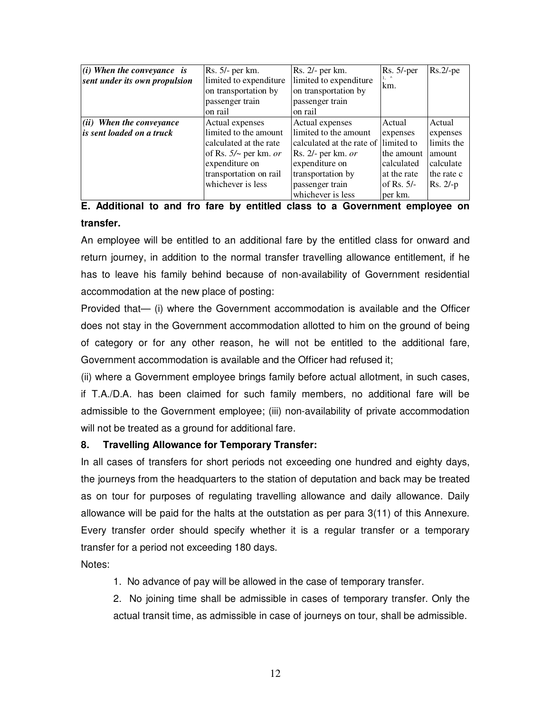| $(i)$ When the conveyance is<br>sent under its own propulsion | Rs. 5/- per km.<br>limited to expenditure<br>on transportation by<br>passenger train<br>on rail | Rs. 2/- per km.<br>limited to expenditure<br>on transportation by<br>passenger train<br>on rail | $Rs. 5/-per$<br>km. | $Rs.2/-pe$ |
|---------------------------------------------------------------|-------------------------------------------------------------------------------------------------|-------------------------------------------------------------------------------------------------|---------------------|------------|
| $\left  \left( ii\right) \right\rangle$ When the conveyance   | Actual expenses                                                                                 | Actual expenses                                                                                 | Actual              | Actual     |
| <i>is sent loaded on a truck</i>                              | limited to the amount                                                                           | limited to the amount                                                                           | expenses            | expenses   |
|                                                               | calculated at the rate                                                                          | calculated at the rate of llimited to                                                           |                     | limits the |
|                                                               | of Rs. $5/$ per km. or                                                                          | Rs. $2/-$ per km. $or$                                                                          | the amount          | amount     |
|                                                               | expenditure on                                                                                  | expenditure on                                                                                  | calculated          | calculate  |
|                                                               | transportation on rail                                                                          | transportation by                                                                               | at the rate         | the rate c |
|                                                               | whichever is less                                                                               | passenger train                                                                                 | of Rs. $5/-$        | $Rs. 2/-p$ |
|                                                               |                                                                                                 | whichever is less                                                                               | per km.             |            |

# **E. Additional to and fro fare by entitled class to a Government employee on transfer.**

An employee will be entitled to an additional fare by the entitled class for onward and return journey, in addition to the normal transfer travelling allowance entitlement, if he has to leave his family behind because of non-availability of Government residential accommodation at the new place of posting:

Provided that— (i) where the Government accommodation is available and the Officer does not stay in the Government accommodation allotted to him on the ground of being of category or for any other reason, he will not be entitled to the additional fare, Government accommodation is available and the Officer had refused it;

(ii) where a Government employee brings family before actual allotment, in such cases, if T.A./D.A. has been claimed for such family members, no additional fare will be admissible to the Government employee; (iii) non-availability of private accommodation will not be treated as a ground for additional fare.

# **8. Travelling Allowance for Temporary Transfer:**

In all cases of transfers for short periods not exceeding one hundred and eighty days, the journeys from the headquarters to the station of deputation and back may be treated as on tour for purposes of regulating travelling allowance and daily allowance. Daily allowance will be paid for the halts at the outstation as per para 3(11) of this Annexure. Every transfer order should specify whether it is a regular transfer or a temporary transfer for a period not exceeding 180 days.

Notes:

1. No advance of pay will be allowed in the case of temporary transfer.

2. No joining time shall be admissible in cases of temporary transfer. Only the actual transit time, as admissible in case of journeys on tour, shall be admissible.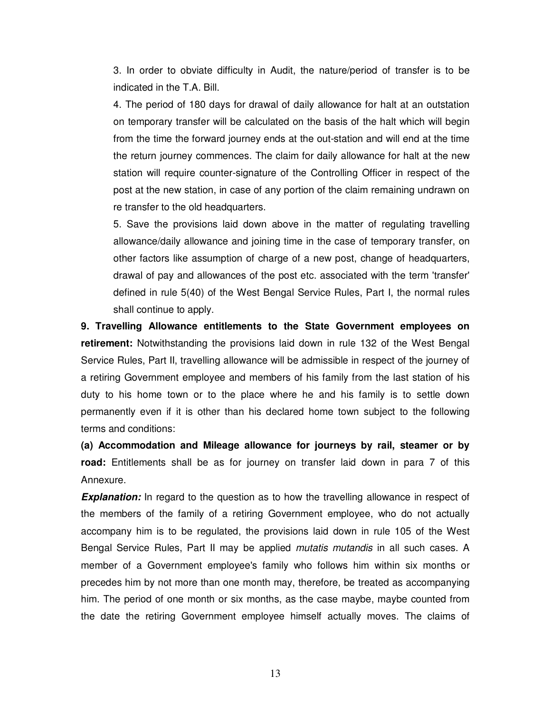3. In order to obviate difficulty in Audit, the nature/period of transfer is to be indicated in the T.A. Bill.

4. The period of 180 days for drawal of daily allowance for halt at an outstation on temporary transfer will be calculated on the basis of the halt which will begin from the time the forward journey ends at the out-station and will end at the time the return journey commences. The claim for daily allowance for halt at the new station will require counter-signature of the Controlling Officer in respect of the post at the new station, in case of any portion of the claim remaining undrawn on re transfer to the old headquarters.

5. Save the provisions laid down above in the matter of regulating travelling allowance/daily allowance and joining time in the case of temporary transfer, on other factors like assumption of charge of a new post, change of headquarters, drawal of pay and allowances of the post etc. associated with the term 'transfer' defined in rule 5(40) of the West Bengal Service Rules, Part I, the normal rules shall continue to apply.

**9. Travelling Allowance entitlements to the State Government employees on retirement:** Notwithstanding the provisions laid down in rule 132 of the West Bengal Service Rules, Part II, travelling allowance will be admissible in respect of the journey of a retiring Government employee and members of his family from the last station of his duty to his home town or to the place where he and his family is to settle down permanently even if it is other than his declared home town subject to the following terms and conditions:

**(a) Accommodation and Mileage allowance for journeys by rail, steamer or by road:** Entitlements shall be as for journey on transfer laid down in para 7 of this Annexure.

**Explanation:** In regard to the question as to how the travelling allowance in respect of the members of the family of a retiring Government employee, who do not actually accompany him is to be regulated, the provisions laid down in rule 105 of the West Bengal Service Rules, Part II may be applied *mutatis mutandis* in all such cases. A member of a Government employee's family who follows him within six months or precedes him by not more than one month may, therefore, be treated as accompanying him. The period of one month or six months, as the case maybe, maybe counted from the date the retiring Government employee himself actually moves. The claims of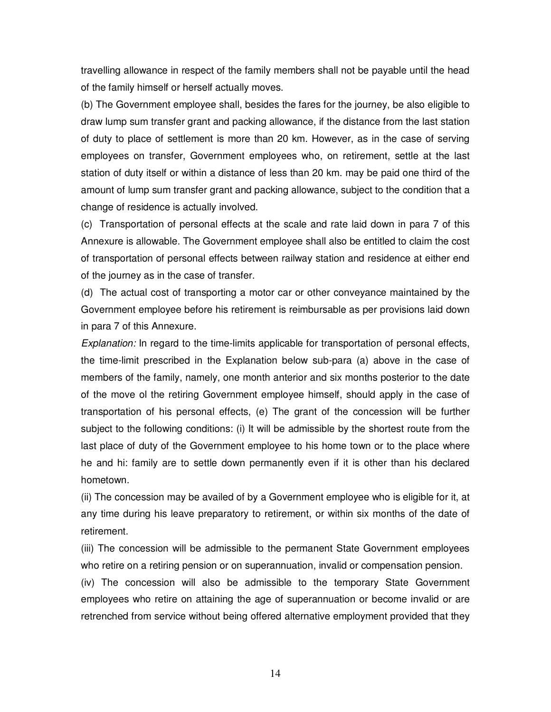travelling allowance in respect of the family members shall not be payable until the head of the family himself or herself actually moves.

(b) The Government employee shall, besides the fares for the journey, be also eligible to draw lump sum transfer grant and packing allowance, if the distance from the last station of duty to place of settlement is more than 20 km. However, as in the case of serving employees on transfer, Government employees who, on retirement, settle at the last station of duty itself or within a distance of less than 20 km. may be paid one third of the amount of lump sum transfer grant and packing allowance, subject to the condition that a change of residence is actually involved.

(c) Transportation of personal effects at the scale and rate laid down in para 7 of this Annexure is allowable. The Government employee shall also be entitled to claim the cost of transportation of personal effects between railway station and residence at either end of the journey as in the case of transfer.

(d) The actual cost of transporting a motor car or other conveyance maintained by the Government employee before his retirement is reimbursable as per provisions laid down in para 7 of this Annexure.

Explanation: In regard to the time-limits applicable for transportation of personal effects, the time-limit prescribed in the Explanation below sub-para (a) above in the case of members of the family, namely, one month anterior and six months posterior to the date of the move ol the retiring Government employee himself, should apply in the case of transportation of his personal effects, (e) The grant of the concession will be further subject to the following conditions: (i) It will be admissible by the shortest route from the last place of duty of the Government employee to his home town or to the place where he and hi: family are to settle down permanently even if it is other than his declared hometown.

(ii) The concession may be availed of by a Government employee who is eligible for it, at any time during his leave preparatory to retirement, or within six months of the date of retirement.

(iii) The concession will be admissible to the permanent State Government employees who retire on a retiring pension or on superannuation, invalid or compensation pension.

(iv) The concession will also be admissible to the temporary State Government employees who retire on attaining the age of superannuation or become invalid or are retrenched from service without being offered alternative employment provided that they

14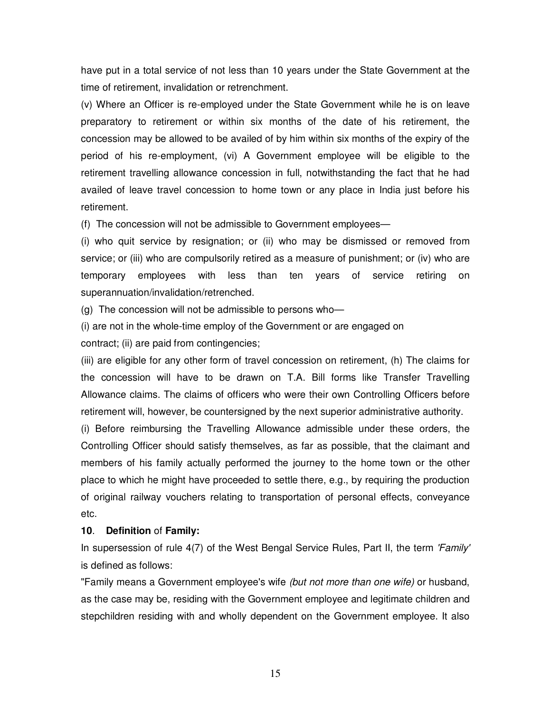have put in a total service of not less than 10 years under the State Government at the time of retirement, invalidation or retrenchment.

(v) Where an Officer is re-employed under the State Government while he is on leave preparatory to retirement or within six months of the date of his retirement, the concession may be allowed to be availed of by him within six months of the expiry of the period of his re-employment, (vi) A Government employee will be eligible to the retirement travelling allowance concession in full, notwithstanding the fact that he had availed of leave travel concession to home town or any place in India just before his retirement.

(f) The concession will not be admissible to Government employees—

(i) who quit service by resignation; or (ii) who may be dismissed or removed from service; or (iii) who are compulsorily retired as a measure of punishment; or (iv) who are temporary employees with less than ten years of service retiring on superannuation/invalidation/retrenched.

(g) The concession will not be admissible to persons who—

(i) are not in the whole-time employ of the Government or are engaged on

contract; (ii) are paid from contingencies;

(iii) are eligible for any other form of travel concession on retirement, (h) The claims for the concession will have to be drawn on T.A. Bill forms like Transfer Travelling Allowance claims. The claims of officers who were their own Controlling Officers before retirement will, however, be countersigned by the next superior administrative authority.

(i) Before reimbursing the Travelling Allowance admissible under these orders, the Controlling Officer should satisfy themselves, as far as possible, that the claimant and members of his family actually performed the journey to the home town or the other place to which he might have proceeded to settle there, e.g., by requiring the production of original railway vouchers relating to transportation of personal effects, conveyance etc.

#### **10**. **Definition** of **Family:**

In supersession of rule 4(7) of the West Bengal Service Rules, Part II, the term 'Family' is defined as follows:

"Family means a Government employee's wife (but not more than one wife) or husband, as the case may be, residing with the Government employee and legitimate children and stepchildren residing with and wholly dependent on the Government employee. It also

15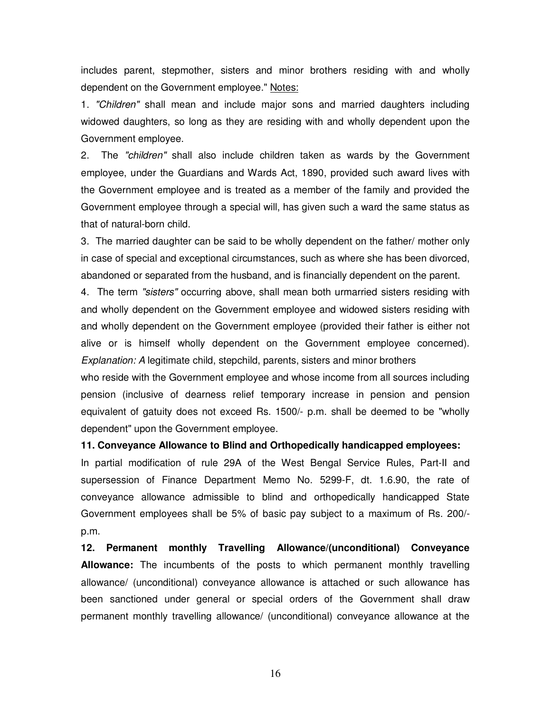includes parent, stepmother, sisters and minor brothers residing with and wholly dependent on the Government employee." Notes:

1. "Children" shall mean and include major sons and married daughters including widowed daughters, so long as they are residing with and wholly dependent upon the Government employee.

2. The "children" shall also include children taken as wards by the Government employee, under the Guardians and Wards Act, 1890, provided such award lives with the Government employee and is treated as a member of the family and provided the Government employee through a special will, has given such a ward the same status as that of natural-born child.

3. The married daughter can be said to be wholly dependent on the father/ mother only in case of special and exceptional circumstances, such as where she has been divorced, abandoned or separated from the husband, and is financially dependent on the parent.

4. The term "sisters" occurring above, shall mean both urmarried sisters residing with and wholly dependent on the Government employee and widowed sisters residing with and wholly dependent on the Government employee (provided their father is either not alive or is himself wholly dependent on the Government employee concerned). Explanation: A legitimate child, stepchild, parents, sisters and minor brothers

who reside with the Government employee and whose income from all sources including pension (inclusive of dearness relief temporary increase in pension and pension equivalent of gatuity does not exceed Rs. 1500/- p.m. shall be deemed to be "wholly dependent" upon the Government employee.

**11. Conveyance Allowance to Blind and Orthopedically handicapped employees:**

In partial modification of rule 29A of the West Bengal Service Rules, Part-II and supersession of Finance Department Memo No. 5299-F, dt. 1.6.90, the rate of conveyance allowance admissible to blind and orthopedically handicapped State Government employees shall be 5% of basic pay subject to a maximum of Rs. 200/ p.m.

**12. Permanent monthly Travelling Allowance/(unconditional) Conveyance Allowance:** The incumbents of the posts to which permanent monthly travelling allowance/ (unconditional) conveyance allowance is attached or such allowance has been sanctioned under general or special orders of the Government shall draw permanent monthly travelling allowance/ (unconditional) conveyance allowance at the

16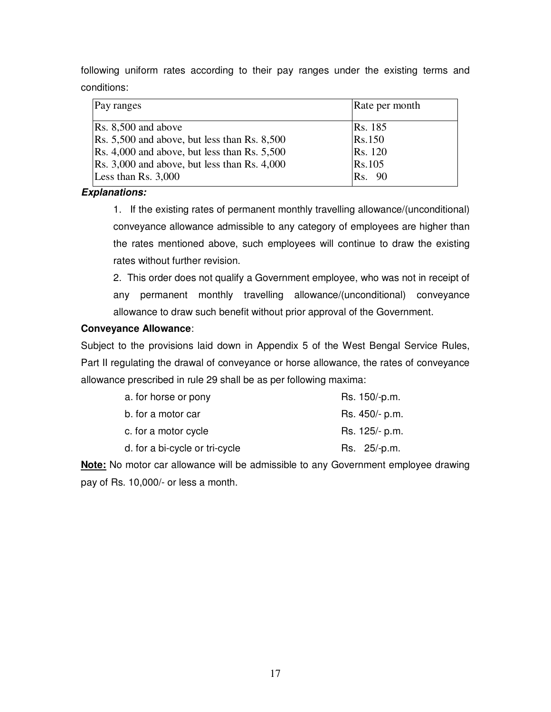following uniform rates according to their pay ranges under the existing terms and conditions:

| Pay ranges                                             | Rate per month |
|--------------------------------------------------------|----------------|
| $\textsf{Rs. } 8,500 \text{ and above}$                | <b>Rs.</b> 185 |
| $\text{Rs. } 5,500$ and above, but less than Rs. 8,500 | Rs.150         |
| Rs. 4,000 and above, but less than Rs. 5,500           | Rs. 120        |
| $\text{Rs. } 3,000$ and above, but less than Rs. 4,000 | Rs.105         |
| Less than Rs. $3,000$                                  | <b>Rs.</b> 90  |

# **Explanations:**

1. If the existing rates of permanent monthly travelling allowance/(unconditional) conveyance allowance admissible to any category of employees are higher than the rates mentioned above, such employees will continue to draw the existing rates without further revision.

2. This order does not qualify a Government employee, who was not in receipt of any permanent monthly travelling allowance/(unconditional) conveyance allowance to draw such benefit without prior approval of the Government.

# **Conveyance Allowance**:

Subject to the provisions laid down in Appendix 5 of the West Bengal Service Rules, Part II regulating the drawal of conveyance or horse allowance, the rates of conveyance allowance prescribed in rule 29 shall be as per following maxima:

| a. for horse or pony           | Rs. 150/-p.m.  |
|--------------------------------|----------------|
| b. for a motor car             | Rs. 450/- p.m. |
| c. for a motor cycle           | Rs. 125/- p.m. |
| d. for a bi-cycle or tri-cycle | Rs. 25/-p.m.   |

**Note:** No motor car allowance will be admissible to any Government employee drawing pay of Rs. 10,000/- or less a month.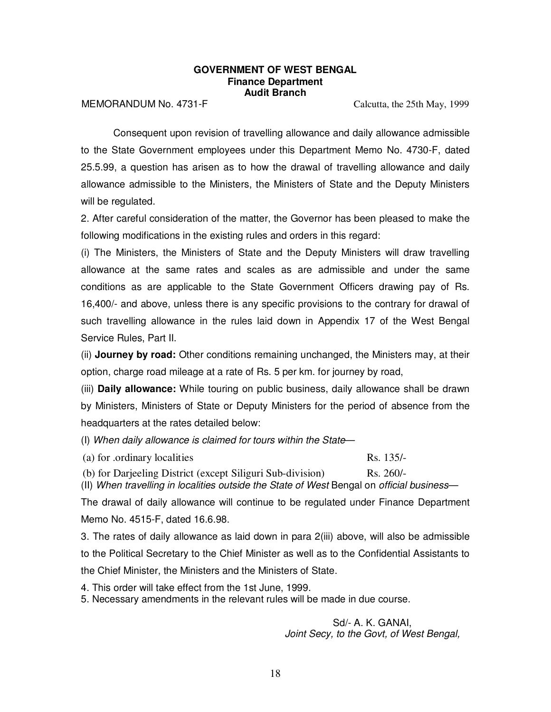#### **GOVERNMENT OF WEST BENGAL Finance Department Audit Branch**

MEMORANDUM No. 4731-F Calcutta, the 25th May, 1999

Consequent upon revision of travelling allowance and daily allowance admissible to the State Government employees under this Department Memo No. 4730-F, dated 25.5.99, a question has arisen as to how the drawal of travelling allowance and daily allowance admissible to the Ministers, the Ministers of State and the Deputy Ministers will be regulated.

2. After careful consideration of the matter, the Governor has been pleased to make the following modifications in the existing rules and orders in this regard:

(i) The Ministers, the Ministers of State and the Deputy Ministers will draw travelling allowance at the same rates and scales as are admissible and under the same conditions as are applicable to the State Government Officers drawing pay of Rs. 16,400/- and above, unless there is any specific provisions to the contrary for drawal of such travelling allowance in the rules laid down in Appendix 17 of the West Bengal Service Rules, Part II.

(ii) **Journey by road:** Other conditions remaining unchanged, the Ministers may, at their option, charge road mileage at a rate of Rs. 5 per km. for journey by road,

(iii) **Daily allowance:** While touring on public business, daily allowance shall be drawn by Ministers, Ministers of State or Deputy Ministers for the period of absence from the headquarters at the rates detailed below:

(I) When daily allowance is claimed for tours within the State—

(a) for .ordinary localities Rs. 135/-

(b) for Darjeeling District (except Siliguri Sub-division) Rs. 260/-

(II) When travelling in localities outside the State of West Bengal on official business—

The drawal of daily allowance will continue to be regulated under Finance Department Memo No. 4515-F, dated 16.6.98.

3. The rates of daily allowance as laid down in para 2(iii) above, will also be admissible to the Political Secretary to the Chief Minister as well as to the Confidential Assistants to the Chief Minister, the Ministers and the Ministers of State.

4. This order will take effect from the 1st June, 1999.

5. Necessary amendments in the relevant rules will be made in due course.

Sd/- A. K. GANAI, Joint Secy, to the Govt, of West Bengal,